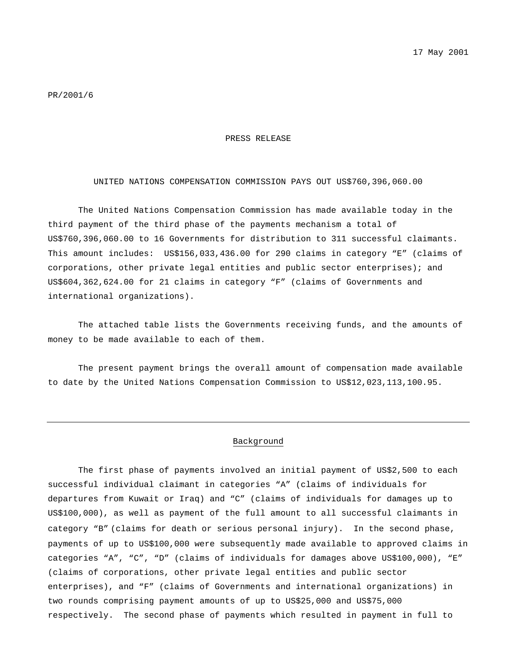#### PRESS RELEASE

### UNITED NATIONS COMPENSATION COMMISSION PAYS OUT US\$760,396,060.00

The United Nations Compensation Commission has made available today in the third payment of the third phase of the payments mechanism a total of US\$760,396,060.00 to 16 Governments for distribution to 311 successful claimants. This amount includes: US\$156,033,436.00 for 290 claims in category "E" (claims of corporations, other private legal entities and public sector enterprises); and US\$604,362,624.00 for 21 claims in category "F" (claims of Governments and international organizations).

The attached table lists the Governments receiving funds, and the amounts of money to be made available to each of them.

The present payment brings the overall amount of compensation made available to date by the United Nations Compensation Commission to US\$12,023,113,100.95.

## Background

The first phase of payments involved an initial payment of US\$2,500 to each successful individual claimant in categories "A" (claims of individuals for departures from Kuwait or Iraq) and "C" (claims of individuals for damages up to US\$100,000), as well as payment of the full amount to all successful claimants in category "B" (claims for death or serious personal injury). In the second phase, payments of up to US\$100,000 were subsequently made available to approved claims in categories "A", "C", "D" (claims of individuals for damages above US\$100,000), "E" (claims of corporations, other private legal entities and public sector enterprises), and "F" (claims of Governments and international organizations) in two rounds comprising payment amounts of up to US\$25,000 and US\$75,000 respectively. The second phase of payments which resulted in payment in full to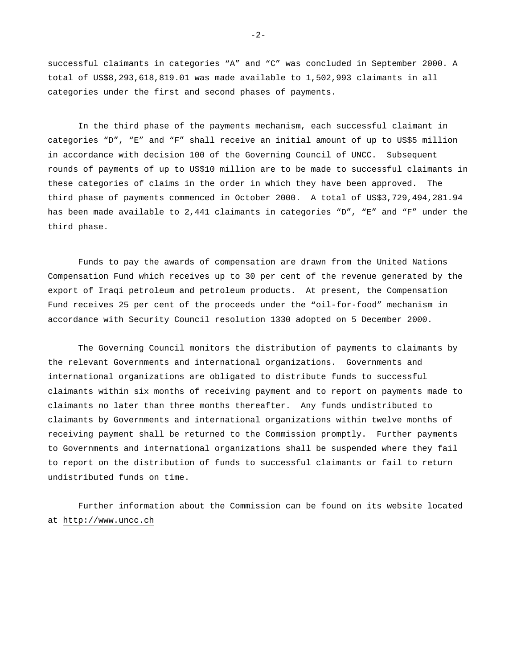successful claimants in categories "A" and "C" was concluded in September 2000. A total of US\$8,293,618,819.01 was made available to 1,502,993 claimants in all categories under the first and second phases of payments.

In the third phase of the payments mechanism, each successful claimant in categories "D", "E" and "F" shall receive an initial amount of up to US\$5 million in accordance with decision 100 of the Governing Council of UNCC. Subsequent rounds of payments of up to US\$10 million are to be made to successful claimants in these categories of claims in the order in which they have been approved. The third phase of payments commenced in October 2000. A total of US\$3,729,494,281.94 has been made available to 2,441 claimants in categories "D", "E" and "F" under the third phase.

Funds to pay the awards of compensation are drawn from the United Nations Compensation Fund which receives up to 30 per cent of the revenue generated by the export of Iraqi petroleum and petroleum products. At present, the Compensation Fund receives 25 per cent of the proceeds under the "oil-for-food" mechanism in accordance with Security Council resolution 1330 adopted on 5 December 2000.

The Governing Council monitors the distribution of payments to claimants by the relevant Governments and international organizations. Governments and international organizations are obligated to distribute funds to successful claimants within six months of receiving payment and to report on payments made to claimants no later than three months thereafter. Any funds undistributed to claimants by Governments and international organizations within twelve months of receiving payment shall be returned to the Commission promptly. Further payments to Governments and international organizations shall be suspended where they fail to report on the distribution of funds to successful claimants or fail to return undistributed funds on time.

Further information about the Commission can be found on its website located at http://www.uncc.ch

 $-2-$